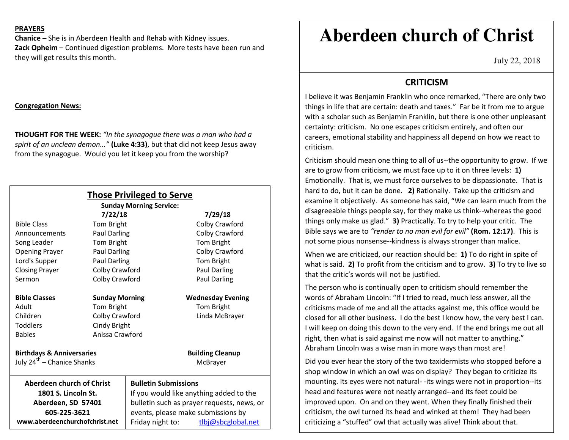### **PRAYERS**

**Chanice** – She is in Aberdeen Health and Rehab with Kidney issues. **Zack Opheim** – Continued digestion problems. More tests have been run and they will get results this month.

## **Congregation News:**

**THOUGHT FOR THE WEEK:** *"In the synagogue there was a man who had a spirit of an unclean demon..."* **(Luke 4:33)**, but that did not keep Jesus away from the synagogue. Would you let it keep you from the worship?

| <b>Those Privileged to Serve</b><br><b>Sunday Morning Service:</b> |                       |                                            |                          |
|--------------------------------------------------------------------|-----------------------|--------------------------------------------|--------------------------|
| 7/22/18<br>7/29/18                                                 |                       |                                            |                          |
| <b>Bible Class</b>                                                 | Tom Bright            |                                            | Colby Crawford           |
| Announcements                                                      | Paul Darling          |                                            | Colby Crawford           |
| Song Leader                                                        | Tom Bright            |                                            | Tom Bright               |
| <b>Opening Prayer</b>                                              | Paul Darling          |                                            | Colby Crawford           |
| Lord's Supper                                                      | <b>Paul Darling</b>   |                                            | Tom Bright               |
| <b>Closing Prayer</b>                                              | Colby Crawford        |                                            | Paul Darling             |
| Sermon                                                             | Colby Crawford        |                                            | <b>Paul Darling</b>      |
| <b>Bible Classes</b>                                               | <b>Sunday Morning</b> |                                            | <b>Wednesday Evening</b> |
| Adult                                                              | Tom Bright            |                                            | Tom Bright               |
| Children                                                           | Colby Crawford        |                                            | Linda McBrayer           |
| <b>Toddlers</b>                                                    | Cindy Bright          |                                            |                          |
| <b>Babies</b>                                                      | Anissa Crawford       |                                            |                          |
| <b>Birthdays &amp; Anniversaries</b>                               |                       |                                            | <b>Building Cleanup</b>  |
| July 24 <sup>th</sup> – Chanice Shanks                             |                       |                                            | McBrayer                 |
| <b>Aberdeen church of Christ</b>                                   |                       | <b>Bulletin Submissions</b>                |                          |
| 1801 S. Lincoln St.                                                |                       | If you would like anything added to the    |                          |
| Aberdeen, SD 57401                                                 |                       | bulletin such as prayer requests, news, or |                          |
| 605-225-3621                                                       |                       | events, please make submissions by         |                          |
| www.aberdeenchurchofchrist.net                                     |                       | Friday night to:                           | tlbj@sbcglobal.net       |

# **Aberdeen church of Christ**

July 22, 2018

## **CRITICISM**

 I believe it was Benjamin Franklin who once remarked, "There are only two things in life that are certain: death and taxes." Far be it from me to argue with a scholar such as Benjamin Franklin, but there is one other unpleasant certainty: criticism. No one escapes criticism entirely, and often our careers, emotional stability and happiness all depend on how we react to criticism.

Criticism should mean one thing to all of us--the opportunity to grow. If we are to grow from criticism, we must face up to it on three levels: **1)** Emotionally. That is, we must force ourselves to be dispassionate. That is hard to do, but it can be done. **2)** Rationally. Take up the criticism and examine it objectively. As someone has said, "We can learn much from the disagreeable things people say, for they make us think--whereas the good things only make us glad." **3)** Practically. To try to help your critic. The Bible says we are to *"render to no man evil for evil"* **(Rom. 12:17)**. This is not some pious nonsense--kindness is always stronger than malice.

When we are criticized, our reaction should be: **1)** To do right in spite of what is said. **2)** To profit from the criticism and to grow. **3)** To try to live so that the critic's words will not be justified.

The person who is continually open to criticism should remember the words of Abraham Lincoln: "If I tried to read, much less answer, all the criticisms made of me and all the attacks against me, this office would be closed for all other business. I do the best I know how, the very best I can. I will keep on doing this down to the very end. If the end brings me out all right, then what is said against me now will not matter to anything." Abraham Lincoln was a wise man in more ways than most are!

Did you ever hear the story of the two taxidermists who stopped before a shop window in which an owl was on display? They began to criticize its mounting. Its eyes were not natural- -its wings were not in proportion--its head and features were not neatly arranged--and its feet could be improved upon. On and on they went. When they finally finished their criticism, the owl turned its head and winked at them! They had been criticizing a "stuffed" owl that actually was alive! Think about that.